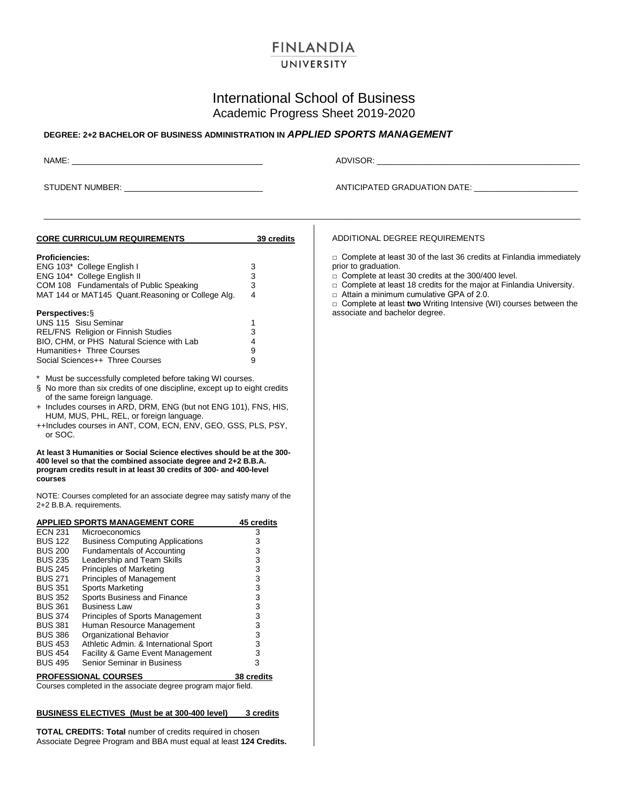# **FINLANDIA**

### UNIVERSITY

# International School of Business Academic Progress Sheet 2019-2020

\_\_\_\_\_\_\_\_\_\_\_\_\_\_\_\_\_\_\_\_\_\_\_\_\_\_\_\_\_\_\_\_\_\_\_\_\_\_\_\_\_\_\_\_\_\_\_\_\_\_\_\_\_\_\_\_\_\_\_\_\_\_\_\_\_\_\_\_\_\_\_\_\_\_\_\_\_\_\_\_\_\_\_\_\_\_\_\_\_\_\_\_\_\_\_\_\_\_\_\_\_\_\_\_\_\_\_\_\_\_\_\_\_\_\_\_\_\_\_

### **DEGREE: 2+2 BACHELOR OF BUSINESS ADMINISTRATION IN** *APPLIED SPORTS MANAGEMENT*

NAME: ADVISOR: \_\_\_\_\_\_\_\_\_\_\_\_\_\_\_\_\_\_\_\_\_\_\_\_\_\_\_\_\_\_\_\_\_\_\_\_\_\_\_\_\_\_\_\_\_

STUDENT NUMBER: ANTICIPATED GRADUATION DATE: \_\_\_\_\_\_\_\_\_\_\_\_\_\_\_\_\_\_\_\_\_\_\_

| <b>CORE CURRICULUM REQUIREMENTS</b>                                                                                                                                                                                                                                                                                                                                           | 39 credits     | ADDITIONAL DEGREE REQUIREMENTS                                                                                            |
|-------------------------------------------------------------------------------------------------------------------------------------------------------------------------------------------------------------------------------------------------------------------------------------------------------------------------------------------------------------------------------|----------------|---------------------------------------------------------------------------------------------------------------------------|
| <b>Proficiencies:</b>                                                                                                                                                                                                                                                                                                                                                         |                | $\Box$ Complete at least 30 of the last 36 credits at Finlandia immediately                                               |
| ENG 103* College English I                                                                                                                                                                                                                                                                                                                                                    | 3              | prior to graduation.                                                                                                      |
| ENG 104* College English II                                                                                                                                                                                                                                                                                                                                                   | 3              | $\Box$ Complete at least 30 credits at the 300/400 level.                                                                 |
| COM 108 Fundamentals of Public Speaking                                                                                                                                                                                                                                                                                                                                       | 3              | $\Box$ Complete at least 18 credits for the major at Finlandia University.                                                |
| MAT 144 or MAT145 Quant. Reasoning or College Alg.                                                                                                                                                                                                                                                                                                                            | $\overline{4}$ | $\Box$ Attain a minimum cumulative GPA of 2.0.<br>$\Box$ Complete at least two Writing Intensive (WI) courses between the |
| <b>Perspectives: §</b>                                                                                                                                                                                                                                                                                                                                                        |                | associate and bachelor degree.                                                                                            |
| UNS 115 Sisu Seminar                                                                                                                                                                                                                                                                                                                                                          | 1              |                                                                                                                           |
| REL/FNS Religion or Finnish Studies                                                                                                                                                                                                                                                                                                                                           | 3              |                                                                                                                           |
| BIO, CHM, or PHS Natural Science with Lab                                                                                                                                                                                                                                                                                                                                     | 4              |                                                                                                                           |
| Humanities+ Three Courses                                                                                                                                                                                                                                                                                                                                                     | 9              |                                                                                                                           |
| Social Sciences++ Three Courses                                                                                                                                                                                                                                                                                                                                               | 9              |                                                                                                                           |
| $^\star$<br>Must be successfully completed before taking WI courses.<br>§ No more than six credits of one discipline, except up to eight credits<br>of the same foreign language.<br>+ Includes courses in ARD, DRM, ENG (but not ENG 101), FNS, HIS,<br>HUM, MUS, PHL, REL, or foreign language.<br>++Includes courses in ANT, COM, ECN, ENV, GEO, GSS, PLS, PSY,<br>or SOC. |                |                                                                                                                           |
| courses<br>NOTE: Courses completed for an associate degree may satisfy many of the<br>2+2 B.B.A. requirements.                                                                                                                                                                                                                                                                |                |                                                                                                                           |
| <b>APPLIED SPORTS MANAGEMENT CORE</b>                                                                                                                                                                                                                                                                                                                                         | 45 credits     |                                                                                                                           |
| <b>ECN 231</b><br>Microeconomics                                                                                                                                                                                                                                                                                                                                              | 3              |                                                                                                                           |
| <b>BUS 122</b><br><b>Business Computing Applications</b>                                                                                                                                                                                                                                                                                                                      | 3              |                                                                                                                           |
| Fundamentals of Accounting<br><b>BUS 200</b>                                                                                                                                                                                                                                                                                                                                  | 3              |                                                                                                                           |
| <b>BUS 235</b><br>Leadership and Team Skills                                                                                                                                                                                                                                                                                                                                  | 3              |                                                                                                                           |
| Principles of Marketing<br><b>BUS 245</b>                                                                                                                                                                                                                                                                                                                                     | 3              |                                                                                                                           |
| <b>BUS 271</b><br>Principles of Management                                                                                                                                                                                                                                                                                                                                    | 3              |                                                                                                                           |
| <b>BUS 351</b><br>Sports Marketing                                                                                                                                                                                                                                                                                                                                            | 3              |                                                                                                                           |
| <b>BUS 352</b><br>Sports Business and Finance                                                                                                                                                                                                                                                                                                                                 | 3              |                                                                                                                           |
| <b>BUS 361</b><br><b>Business Law</b>                                                                                                                                                                                                                                                                                                                                         | 3              |                                                                                                                           |
| <b>BUS 374</b><br>Principles of Sports Management                                                                                                                                                                                                                                                                                                                             | 3              |                                                                                                                           |
| Human Resource Management<br><b>BUS 381</b>                                                                                                                                                                                                                                                                                                                                   | 3              |                                                                                                                           |
| <b>BUS 386</b><br>Organizational Behavior                                                                                                                                                                                                                                                                                                                                     | 3              |                                                                                                                           |
| <b>BUS 453</b><br>Athletic Admin. & International Sport                                                                                                                                                                                                                                                                                                                       | 3              |                                                                                                                           |
| <b>BUS 454</b><br>Facility & Game Event Management                                                                                                                                                                                                                                                                                                                            | 3              |                                                                                                                           |
| <b>BUS 495</b><br>Senior Seminar in Business                                                                                                                                                                                                                                                                                                                                  | 3              |                                                                                                                           |
| <b>PROFESSIONAL COURSES</b>                                                                                                                                                                                                                                                                                                                                                   | 38 credits     |                                                                                                                           |
| Courses completed in the associate degree program major field.                                                                                                                                                                                                                                                                                                                |                |                                                                                                                           |
|                                                                                                                                                                                                                                                                                                                                                                               |                |                                                                                                                           |
|                                                                                                                                                                                                                                                                                                                                                                               |                |                                                                                                                           |
| <b>BUSINESS ELECTIVES</b> (Must be at 300-400 level)                                                                                                                                                                                                                                                                                                                          | 3 credits      |                                                                                                                           |

**TOTAL CREDITS: Total** number of credits required in chosen Associate Degree Program and BBA must equal at least **124 Credits.**